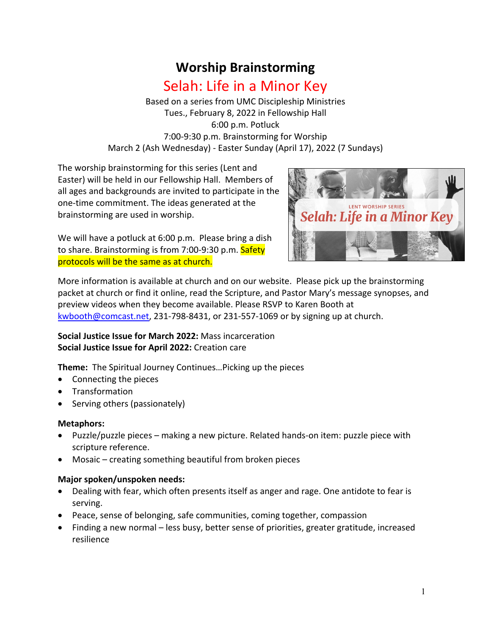# **Worship Brainstorming** Selah: Life in a Minor Key

Based on a series from UMC Discipleship Ministries Tues., February 8, 2022 in Fellowship Hall 6:00 p.m. Potluck 7:00-9:30 p.m. Brainstorming for Worship March 2 (Ash Wednesday) - Easter Sunday (April 17), 2022 (7 Sundays)

The worship brainstorming for this series (Lent and Easter) will be held in our Fellowship Hall. Members of all ages and backgrounds are invited to participate in the one-time commitment. The ideas generated at the brainstorming are used in worship.

We will have a potluck at 6:00 p.m. Please bring a dish to share. Brainstorming is from 7:00-9:30 p.m. Safety protocols will be the same as at church.



More information is available at church and on our website. Please pick up the brainstorming packet at church or find it online, read the Scripture, and Pastor Mary's message synopses, and preview videos when they become available. Please RSVP to Karen Booth at kwbooth@comcast.net, 231-798-8431, or 231-557-1069 or by signing up at church.

## **Social Justice Issue for March 2022:** Mass incarceration **Social Justice Issue for April 2022:** Creation care

**Theme:** The Spiritual Journey Continues…Picking up the pieces

- Connecting the pieces
- Transformation
- Serving others (passionately)

## **Metaphors:**

- Puzzle/puzzle pieces making a new picture. Related hands-on item: puzzle piece with scripture reference.
- Mosaic creating something beautiful from broken pieces

## **Major spoken/unspoken needs:**

- Dealing with fear, which often presents itself as anger and rage. One antidote to fear is serving.
- Peace, sense of belonging, safe communities, coming together, compassion
- Finding a new normal less busy, better sense of priorities, greater gratitude, increased resilience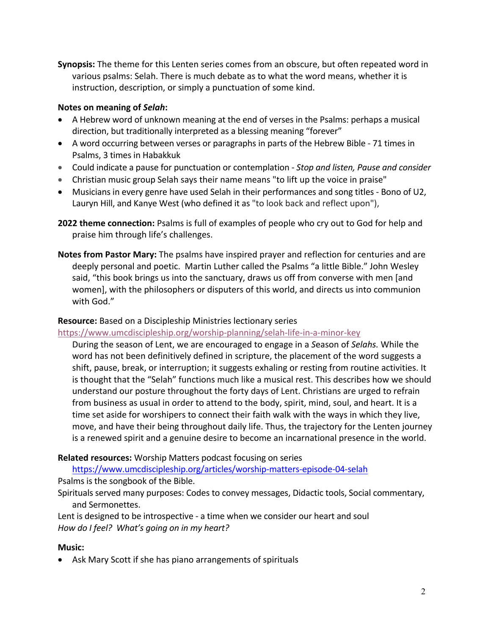**Synopsis:** The theme for this Lenten series comes from an obscure, but often repeated word in various psalms: Selah. There is much debate as to what the word means, whether it is instruction, description, or simply a punctuation of some kind.

#### **Notes on meaning of** *Selah***:**

- A Hebrew word of unknown meaning at the end of verses in the Psalms: perhaps a musical direction, but traditionally interpreted as a blessing meaning "forever"
- A word occurring between verses or paragraphs in parts of the Hebrew Bible 71 times in Psalms, 3 times in Habakkuk
- Could indicate a pause for punctuation or contemplation *Stop and listen, Pause and consider*
- Christian music group Selah says their name means "to lift up the voice in praise"
- Musicians in every genre have used Selah in their performances and song titles Bono of U2, Lauryn Hill, and Kanye West (who defined it as "to look back and reflect upon"),
- **2022 theme connection:** Psalms is full of examples of people who cry out to God for help and praise him through life's challenges.
- **Notes from Pastor Mary:** The psalms have inspired prayer and reflection for centuries and are deeply personal and poetic. Martin Luther called the Psalms "a little Bible." John Wesley said, "this book brings us into the sanctuary, draws us off from converse with men [and women], with the philosophers or disputers of this world, and directs us into communion with God."

## **Resource:** Based on a Discipleship Ministries lectionary series

## https://www.umcdiscipleship.org/worship-planning/selah-life-in-a-minor-key

During the season of Lent, we are encouraged to engage in a *S*eason of *Selahs.* While the word has not been definitively defined in scripture, the placement of the word suggests a shift, pause, break, or interruption; it suggests exhaling or resting from routine activities. It is thought that the "Selah" functions much like a musical rest. This describes how we should understand our posture throughout the forty days of Lent. Christians are urged to refrain from business as usual in order to attend to the body, spirit, mind, soul, and heart. It is a time set aside for worshipers to connect their faith walk with the ways in which they live, move, and have their being throughout daily life. Thus, the trajectory for the Lenten journey is a renewed spirit and a genuine desire to become an incarnational presence in the world.

## **Related resources:** Worship Matters podcast focusing on series

https://www.umcdiscipleship.org/articles/worship-matters-episode-04-selah Psalms is the songbook of the Bible.

Spirituals served many purposes: Codes to convey messages, Didactic tools, Social commentary, and Sermonettes.

Lent is designed to be introspective - a time when we consider our heart and soul *How do I feel? What's going on in my heart?*

## **Music:**

• Ask Mary Scott if she has piano arrangements of spirituals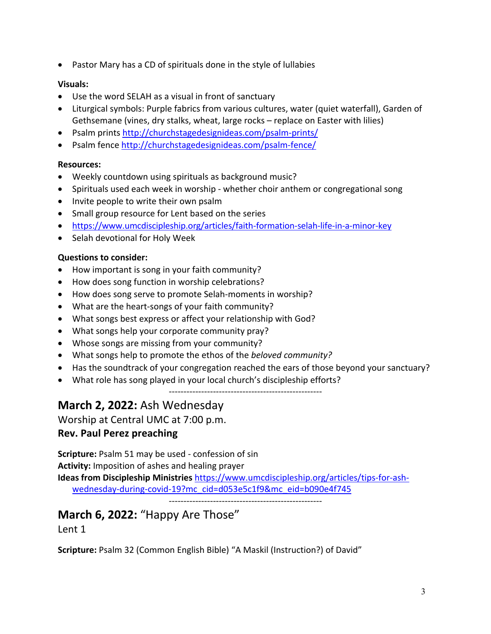• Pastor Mary has a CD of spirituals done in the style of lullabies

# **Visuals:**

- Use the word SELAH as a visual in front of sanctuary
- Liturgical symbols: Purple fabrics from various cultures, water (quiet waterfall), Garden of Gethsemane (vines, dry stalks, wheat, large rocks – replace on Easter with lilies)
- Psalm prints http://churchstagedesignideas.com/psalm-prints/
- Psalm fence http://churchstagedesignideas.com/psalm-fence/

# **Resources:**

- Weekly countdown using spirituals as background music?
- Spirituals used each week in worship whether choir anthem or congregational song
- Invite people to write their own psalm
- Small group resource for Lent based on the series
- https://www.umcdiscipleship.org/articles/faith-formation-selah-life-in-a-minor-key
- Selah devotional for Holy Week

# **Questions to consider:**

- How important is song in your faith community?
- How does song function in worship celebrations?
- How does song serve to promote Selah-moments in worship?
- What are the heart-songs of your faith community?
- What songs best express or affect your relationship with God?
- What songs help your corporate community pray?
- Whose songs are missing from your community?
- What songs help to promote the ethos of the *beloved community?*
- Has the soundtrack of your congregation reached the ears of those beyond your sanctuary?
- What role has song played in your local church's discipleship efforts?

----------------------------------------------------

# **March 2, 2022:** Ash Wednesday

Worship at Central UMC at 7:00 p.m.

# **Rev. Paul Perez preaching**

**Scripture:** Psalm 51 may be used - confession of sin **Activity:** Imposition of ashes and healing prayer **Ideas from Discipleship Ministries** https://www.umcdiscipleship.org/articles/tips-for-ashwednesday-during-covid-19?mc\_cid=d053e5c1f9&mc\_eid=b090e4f745

----------------------------------------------------

# **March 6, 2022:** "Happy Are Those"

Lent 1

**Scripture:** Psalm 32 (Common English Bible) "A Maskil (Instruction?) of David"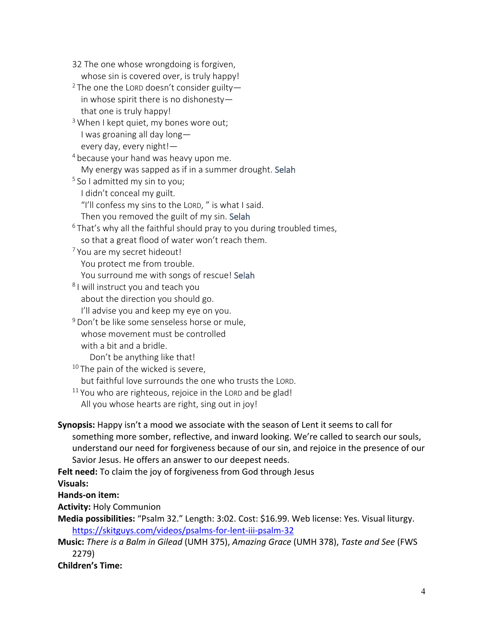32 The one whose wrongdoing is forgiven, whose sin is covered over, is truly happy! <sup>2</sup> The one the LORD doesn't consider guiltyin whose spirit there is no dishonesty that one is truly happy!  $3$  When I kept quiet, my bones wore out; I was groaning all day long every day, every night!— <sup>4</sup> because your hand was heavy upon me. My energy was sapped as if in a summer drought. Selah  $5$  So I admitted my sin to you; I didn't conceal my guilt. "I'll confess my sins to the LORD, " is what I said. Then you removed the guilt of my sin. Selah <sup>6</sup> That's why all the faithful should pray to you during troubled times, so that a great flood of water won't reach them. <sup>7</sup> You are my secret hideout! You protect me from trouble. You surround me with songs of rescue! Selah <sup>8</sup> I will instruct you and teach you about the direction you should go. I'll advise you and keep my eye on you. <sup>9</sup> Don't be like some senseless horse or mule, whose movement must be controlled with a bit and a bridle. Don't be anything like that!  $10$  The pain of the wicked is severe, but faithful love surrounds the one who trusts the LORD.  $11$  You who are righteous, rejoice in the LORD and be glad! All you whose hearts are right, sing out in joy! **Synopsis:** Happy isn't a mood we associate with the season of Lent it seems to call for something more somber, reflective, and inward looking. We're called to search our souls, understand our need for forgiveness because of our sin, and rejoice in the presence of our Savior Jesus. He offers an answer to our deepest needs. **Felt need:** To claim the joy of forgiveness from God through Jesus **Visuals: Hands-on item: Activity:** Holy Communion

**Media possibilities:** "Psalm 32." Length: 3:02. Cost: \$16.99. Web license: Yes. Visual liturgy. https://skitguys.com/videos/psalms-for-lent-iii-psalm-32

**Music:** *There is a Balm in Gilead* (UMH 375), *Amazing Grace* (UMH 378), *Taste and See* (FWS 2279)

**Children's Time:**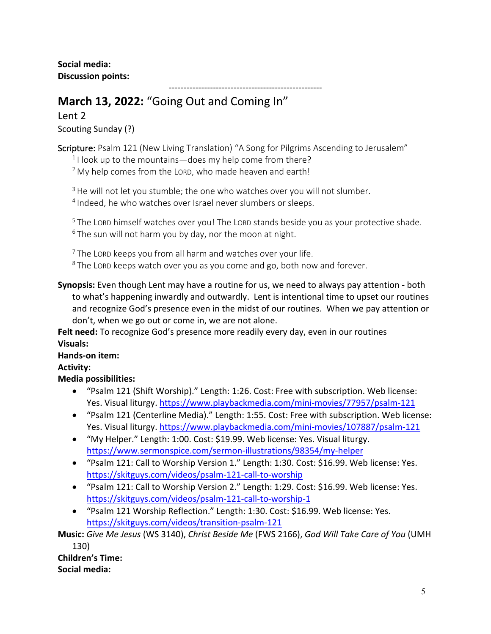**Social media: Discussion points:**

----------------------------------------------------

# **March 13, 2022:** "Going Out and Coming In"

Lent 2 Scouting Sunday (?)

Scripture: Psalm 121 (New Living Translation) "A Song for Pilgrims Ascending to Jerusalem"

 $1$ I look up to the mountains—does my help come from there?

 $2$  My help comes from the LORD, who made heaven and earth!

 $3$  He will not let you stumble; the one who watches over you will not slumber. <sup>4</sup> Indeed, he who watches over Israel never slumbers or sleeps.

<sup>5</sup> The LORD himself watches over you! The LORD stands beside you as your protective shade.  $6$  The sun will not harm you by day, nor the moon at night.

 $7$  The LORD keeps you from all harm and watches over your life. <sup>8</sup> The LORD keeps watch over you as you come and go, both now and forever.

**Synopsis:** Even though Lent may have a routine for us, we need to always pay attention - both to what's happening inwardly and outwardly. Lent is intentional time to upset our routines and recognize God's presence even in the midst of our routines. When we pay attention or don't, when we go out or come in, we are not alone.

**Felt need:** To recognize God's presence more readily every day, even in our routines **Visuals:**

# **Hands-on item:**

# **Activity:**

# **Media possibilities:**

- "Psalm 121 (Shift Worship)." Length: 1:26. Cost: Free with subscription. Web license: Yes. Visual liturgy. https://www.playbackmedia.com/mini-movies/77957/psalm-121
- "Psalm 121 (Centerline Media)." Length: 1:55. Cost: Free with subscription. Web license: Yes. Visual liturgy. https://www.playbackmedia.com/mini-movies/107887/psalm-121
- "My Helper." Length: 1:00. Cost: \$19.99. Web license: Yes. Visual liturgy. https://www.sermonspice.com/sermon-illustrations/98354/my-helper
- "Psalm 121: Call to Worship Version 1." Length: 1:30. Cost: \$16.99. Web license: Yes. https://skitguys.com/videos/psalm-121-call-to-worship
- "Psalm 121: Call to Worship Version 2." Length: 1:29. Cost: \$16.99. Web license: Yes. https://skitguys.com/videos/psalm-121-call-to-worship-1
- "Psalm 121 Worship Reflection." Length: 1:30. Cost: \$16.99. Web license: Yes. https://skitguys.com/videos/transition-psalm-121

**Music:** *Give Me Jesus* (WS 3140), *Christ Beside Me* (FWS 2166), *God Will Take Care of You* (UMH 130)

**Children's Time: Social media:**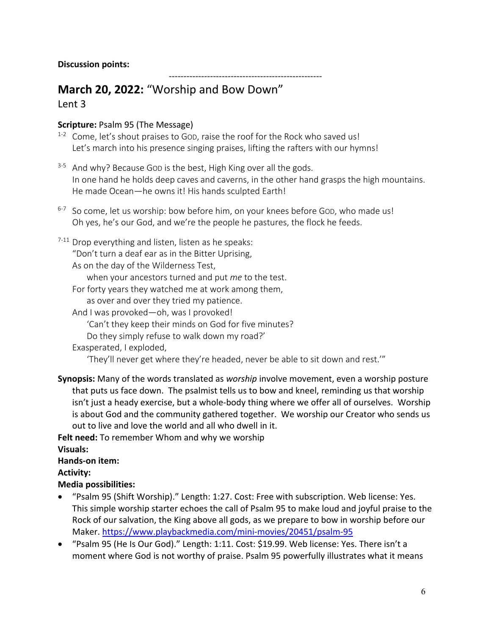# **March 20, 2022:** "Worship and Bow Down" Lent 3

# **Scripture:** Psalm 95 (The Message)

- $1-2$  Come, let's shout praises to GOD, raise the roof for the Rock who saved us! Let's march into his presence singing praises, lifting the rafters with our hymns!
- 3-5 And why? Because GOD is the best, High King over all the gods. In one hand he holds deep caves and caverns, in the other hand grasps the high mountains. He made Ocean—he owns it! His hands sculpted Earth!

----------------------------------------------------

- $6-7$  So come, let us worship: bow before him, on your knees before GOD, who made us! Oh yes, he's our God, and we're the people he pastures, the flock he feeds.
- $7-11$  Drop everything and listen, listen as he speaks:

"Don't turn a deaf ear as in the Bitter Uprising,

As on the day of the Wilderness Test,

when your ancestors turned and put *me* to the test.

- For forty years they watched me at work among them, as over and over they tried my patience.
- And I was provoked—oh, was I provoked!

'Can't they keep their minds on God for five minutes?

- Do they simply refuse to walk down my road?'
- Exasperated, I exploded,

'They'll never get where they're headed, never be able to sit down and rest.'"

**Synopsis:** Many of the words translated as *worship* involve movement, even a worship posture that puts us face down. The psalmist tells us to bow and kneel, reminding us that worship isn't just a heady exercise, but a whole-body thing where we offer all of ourselves. Worship is about God and the community gathered together. We worship our Creator who sends us out to live and love the world and all who dwell in it.

**Felt need:** To remember Whom and why we worship **Visuals:**

# **Hands-on item:**

**Activity:**

# **Media possibilities:**

- "Psalm 95 (Shift Worship)." Length: 1:27. Cost: Free with subscription. Web license: Yes. This simple worship starter echoes the call of Psalm 95 to make loud and joyful praise to the Rock of our salvation, the King above all gods, as we prepare to bow in worship before our Maker. https://www.playbackmedia.com/mini-movies/20451/psalm-95
- "Psalm 95 (He Is Our God)." Length: 1:11. Cost: \$19.99. Web license: Yes. There isn't a moment where God is not worthy of praise. Psalm 95 powerfully illustrates what it means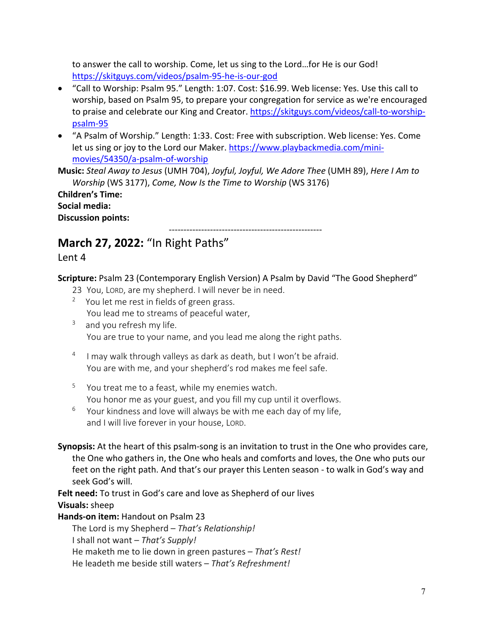to answer the call to worship. Come, let us sing to the Lord…for He is our God! https://skitguys.com/videos/psalm-95-he-is-our-god

- "Call to Worship: Psalm 95." Length: 1:07. Cost: \$16.99. Web license: Yes. Use this call to worship, based on Psalm 95, to prepare your congregation for service as we're encouraged to praise and celebrate our King and Creator. https://skitguys.com/videos/call-to-worshippsalm-95
- "A Psalm of Worship." Length: 1:33. Cost: Free with subscription. Web license: Yes. Come let us sing or joy to the Lord our Maker. https://www.playbackmedia.com/minimovies/54350/a-psalm-of-worship

**Music:** *Steal Away to Jesus* (UMH 704), *Joyful, Joyful, We Adore Thee* (UMH 89), *Here I Am to Worship* (WS 3177), *Come, Now Is the Time to Worship* (WS 3176)

| <b>Children's Time:</b>   |
|---------------------------|
| Social media:             |
| <b>Discussion points:</b> |

----------------------------------------------------

# **March 27, 2022:** "In Right Paths"

Lent 4

**Scripture:** Psalm 23 (Contemporary English Version) A Psalm by David "The Good Shepherd"

- 23 You, LORD, are my shepherd. I will never be in need.
- $2$  You let me rest in fields of green grass. You lead me to streams of peaceful water,
- <sup>3</sup> and you refresh my life. You are true to your name, and you lead me along the right paths.
- <sup>4</sup> I may walk through valleys as dark as death, but I won't be afraid. You are with me, and your shepherd's rod makes me feel safe.
- $5$  You treat me to a feast, while my enemies watch. You honor me as your guest, and you fill my cup until it overflows.
- $6$  Your kindness and love will always be with me each day of my life, and I will live forever in your house, LORD.
- **Synopsis:** At the heart of this psalm-song is an invitation to trust in the One who provides care, the One who gathers in, the One who heals and comforts and loves, the One who puts our feet on the right path. And that's our prayer this Lenten season - to walk in God's way and seek God's will.

**Felt need:** To trust in God's care and love as Shepherd of our lives **Visuals:** sheep

# **Hands-on item:** Handout on Psalm 23

The Lord is my Shepherd – *That's Relationship!* I shall not want – *That's Supply!* He maketh me to lie down in green pastures – *That's Rest!* He leadeth me beside still waters – *That's Refreshment!*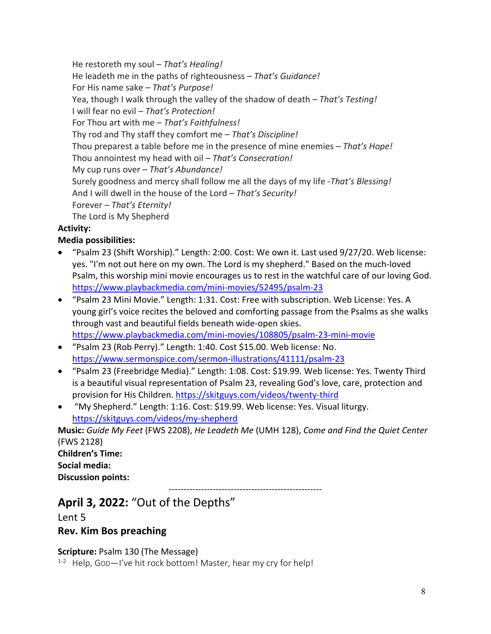He restoreth my soul – *That's Healing!*

He leadeth me in the paths of righteousness – *That's Guidance!*

For His name sake – *That's Purpose!*

Yea, though I walk through the valley of the shadow of death – *That's Testing!*

I will fear no evil – *That's Protection!*

For Thou art with me – *That's Faithfulness!*

Thy rod and Thy staff they comfort me – *That's Discipline!*

Thou preparest a table before me in the presence of mine enemies – *That's Hope!*

Thou annointest my head with oil – *That's Consecration!*

My cup runs over – *That's Abundance!*

Surely goodness and mercy shall follow me all the days of my life -*That's Blessing!*

And I will dwell in the house of the Lord – *That's Security!*

Forever – *That's Eternity!*

The Lord is My Shepherd

# **Activity:**

# **Media possibilities:**

- "Psalm 23 (Shift Worship)." Length: 2:00. Cost: We own it. Last used 9/27/20. Web license: yes. "I'm not out here on my own. The Lord is my shepherd." Based on the much-loved Psalm, this worship mini movie encourages us to rest in the watchful care of our loving God. https://www.playbackmedia.com/mini-movies/52495/psalm-23
- "Psalm 23 Mini Movie." Length: 1:31. Cost: Free with subscription. Web License: Yes. A young girl's voice recites the beloved and comforting passage from the Psalms as she walks through vast and beautiful fields beneath wide-open skies. https://www.playbackmedia.com/mini-movies/108805/psalm-23-mini-movie
- "Psalm 23 (Rob Perry)." Length: 1:40. Cost \$15.00. Web license: No. https://www.sermonspice.com/sermon-illustrations/41111/psalm-23
- "Psalm 23 (Freebridge Media)." Length: 1:08. Cost: \$19.99. Web license: Yes. Twenty Third is a beautiful visual representation of Psalm 23, revealing God's love, care, protection and provision for His Children. https://skitguys.com/videos/twenty-third
- "My Shepherd." Length: 1:16. Cost: \$19.99. Web license: Yes. Visual liturgy. https://skitguys.com/videos/my-shepherd

**Music:** *Guide My Feet* (FWS 2208), *He Leadeth Me* (UMH 128), *Come and Find the Quiet Center* (FWS 2128)

**Children's Time: Social media: Discussion points:**

----------------------------------------------------

# **April 3, 2022:** "Out of the Depths"

Lent 5

**Rev. Kim Bos preaching**

# **Scripture:** Psalm 130 (The Message)

 $1-2$  Help, God-I've hit rock bottom! Master, hear my cry for help!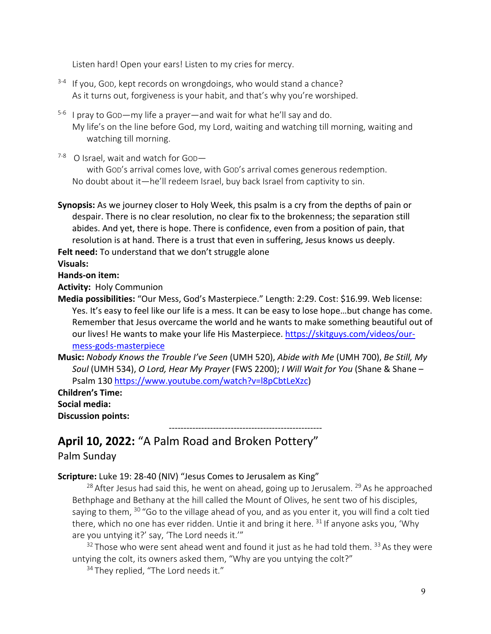Listen hard! Open your ears! Listen to my cries for mercy.

- <sup>3-4</sup> If you, GOD, kept records on wrongdoings, who would stand a chance? As it turns out, forgiveness is your habit, and that's why you're worshiped.
- 5-6 I pray to GOD—my life a prayer—and wait for what he'll say and do. My life's on the line before God, my Lord, waiting and watching till morning, waiting and watching till morning.
- $7-8$  O Israel, wait and watch for God-

with GOD's arrival comes love, with GOD's arrival comes generous redemption. No doubt about it—he'll redeem Israel, buy back Israel from captivity to sin.

**Synopsis:** As we journey closer to Holy Week, this psalm is a cry from the depths of pain or despair. There is no clear resolution, no clear fix to the brokenness; the separation still abides. And yet, there is hope. There is confidence, even from a position of pain, that resolution is at hand. There is a trust that even in suffering, Jesus knows us deeply.

Felt need: To understand that we don't struggle alone

**Visuals:**

**Hands-on item:**

**Activity:** Holy Communion

**Media possibilities:** "Our Mess, God's Masterpiece." Length: 2:29. Cost: \$16.99. Web license: Yes. It's easy to feel like our life is a mess. It can be easy to lose hope…but change has come. Remember that Jesus overcame the world and he wants to make something beautiful out of our lives! He wants to make your life His Masterpiece. https://skitguys.com/videos/ourmess-gods-masterpiece

**Music:** *Nobody Knows the Trouble I've Seen* (UMH 520), *Abide with Me* (UMH 700), *Be Still, My Soul* (UMH 534), *O Lord, Hear My Prayer* (FWS 2200); *I Will Wait for You* (Shane & Shane – Psalm 130 https://www.youtube.com/watch?v=l8pCbtLeXzc)

**Children's Time: Social media: Discussion points:**

# ---------------------------------------------------- **April 10, 2022:** "A Palm Road and Broken Pottery"

# Palm Sunday

## **Scripture:** Luke 19: 28-40 (NIV) "Jesus Comes to Jerusalem as King"

 $28$  After Jesus had said this, he went on ahead, going up to Jerusalem.  $29$  As he approached Bethphage and Bethany at the hill called the Mount of Olives, he sent two of his disciples, saying to them, <sup>30</sup> "Go to the village ahead of you, and as you enter it, you will find a colt tied there, which no one has ever ridden. Untie it and bring it here. <sup>31</sup> If anyone asks you, 'Why are you untying it?' say, 'The Lord needs it.'"

 $32$  Those who were sent ahead went and found it just as he had told them.  $33$  As they were untying the colt, its owners asked them, "Why are you untying the colt?"

<sup>34</sup> They replied, "The Lord needs it."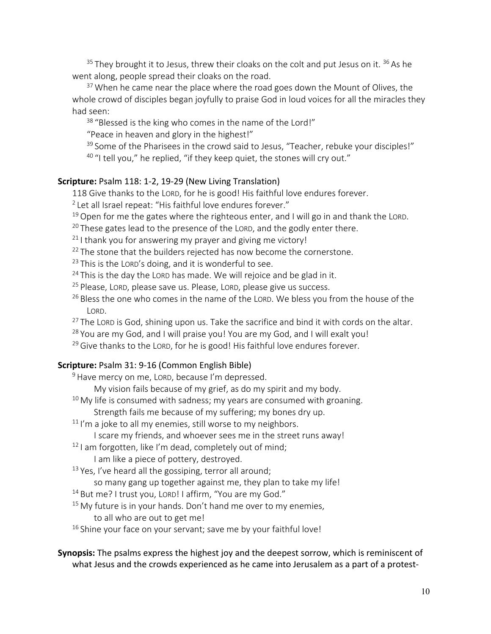$35$  They brought it to Jesus, threw their cloaks on the colt and put Jesus on it.  $36$  As he went along, people spread their cloaks on the road.

 $37$  When he came near the place where the road goes down the Mount of Olives, the whole crowd of disciples began joyfully to praise God in loud voices for all the miracles they had seen:

<sup>38</sup> "Blessed is the king who comes in the name of the Lord!"

"Peace in heaven and glory in the highest!"

<sup>39</sup> Some of the Pharisees in the crowd said to Jesus, "Teacher, rebuke your disciples!" <sup>40</sup> "I tell you," he replied, "if they keep quiet, the stones will cry out."

#### **Scripture:** Psalm 118: 1-2, 19-29 (New Living Translation)

118 Give thanks to the LORD, for he is good! His faithful love endures forever.

- <sup>2</sup> Let all Israel repeat: "His faithful love endures forever."
- $19$  Open for me the gates where the righteous enter, and I will go in and thank the LORD.
- $20$  These gates lead to the presence of the LORD, and the godly enter there.
- $21$  I thank you for answering my prayer and giving me victory!
- <sup>22</sup> The stone that the builders rejected has now become the cornerstone.
- $23$  This is the LORD's doing, and it is wonderful to see.
- $24$  This is the day the LORD has made. We will rejoice and be glad in it.
- <sup>25</sup> Please, LORD, please save us. Please, LORD, please give us success.
- <sup>26</sup> Bless the one who comes in the name of the LORD. We bless you from the house of the LORD.
- $27$  The LORD is God, shining upon us. Take the sacrifice and bind it with cords on the altar.
- $28$  You are my God, and I will praise you! You are my God, and I will exalt you!
- $29$  Give thanks to the LORD, for he is good! His faithful love endures forever.

#### **Scripture:** Psalm 31: 9-16 (Common English Bible)

- <sup>9</sup> Have mercy on me, LORD, because I'm depressed.
	- My vision fails because of my grief, as do my spirit and my body.
- $10$  My life is consumed with sadness; my years are consumed with groaning.

Strength fails me because of my suffering; my bones dry up.

- $11$  I'm a joke to all my enemies, still worse to my neighbors.
	- I scare my friends, and whoever sees me in the street runs away!
- $12$  I am forgotten, like I'm dead, completely out of mind;
	- I am like a piece of pottery, destroyed.
- $13$  Yes, I've heard all the gossiping, terror all around;
	- so many gang up together against me, they plan to take my life!
- <sup>14</sup> But me? I trust you, LORD! I affirm, "You are my God."
- $15$  My future is in your hands. Don't hand me over to my enemies,
	- to all who are out to get me!
- $16$  Shine your face on your servant; save me by your faithful love!

#### **Synopsis:** The psalms express the highest joy and the deepest sorrow, which is reminiscent of what Jesus and the crowds experienced as he came into Jerusalem as a part of a protest-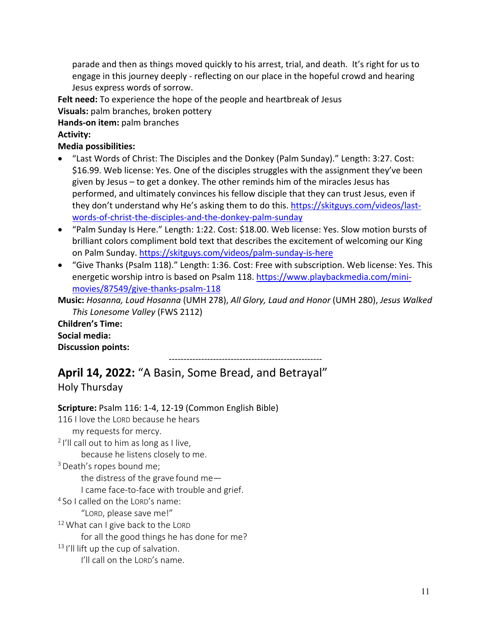parade and then as things moved quickly to his arrest, trial, and death. It's right for us to engage in this journey deeply - reflecting on our place in the hopeful crowd and hearing Jesus express words of sorrow.

**Felt need:** To experience the hope of the people and heartbreak of Jesus **Visuals:** palm branches, broken pottery

**Hands-on item:** palm branches

**Activity:**

**Media possibilities:**

- "Last Words of Christ: The Disciples and the Donkey (Palm Sunday)." Length: 3:27. Cost: \$16.99. Web license: Yes. One of the disciples struggles with the assignment they've been given by Jesus – to get a donkey. The other reminds him of the miracles Jesus has performed, and ultimately convinces his fellow disciple that they can trust Jesus, even if they don't understand why He's asking them to do this. https://skitguys.com/videos/lastwords-of-christ-the-disciples-and-the-donkey-palm-sunday
- "Palm Sunday Is Here." Length: 1:22. Cost: \$18.00. Web license: Yes. Slow motion bursts of brilliant colors compliment bold text that describes the excitement of welcoming our King on Palm Sunday. https://skitguys.com/videos/palm-sunday-is-here
- "Give Thanks (Psalm 118)." Length: 1:36. Cost: Free with subscription. Web license: Yes. This energetic worship intro is based on Psalm 118. https://www.playbackmedia.com/minimovies/87549/give-thanks-psalm-118

**Music:** *Hosanna, Loud Hosanna* (UMH 278), *All Glory, Laud and Honor* (UMH 280), *Jesus Walked This Lonesome Valley* (FWS 2112)

**Children's Time: Social media: Discussion points:**

---------------------------------------------------- **April 14, 2022:** "A Basin, Some Bread, and Betrayal"

Holy Thursday

**Scripture:** Psalm 116: 1-4, 12-19 (Common English Bible) 116 I love the LORD because he hears my requests for mercy.  $2$  I'll call out to him as long as I live, because he listens closely to me. <sup>3</sup> Death's ropes bound me; the distress of the grave found me— I came face-to-face with trouble and grief. <sup>4</sup> So I called on the LORD's name: "LORD, please save me!" <sup>12</sup> What can I give back to the LORD for all the good things he has done for me? <sup>13</sup> I'll lift up the cup of salvation. I'll call on the LORD's name.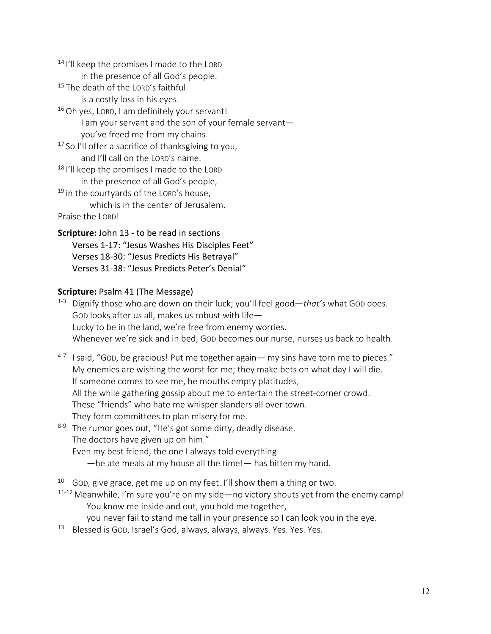$14$  I'll keep the promises I made to the LORD

in the presence of all God's people.

<sup>15</sup> The death of the LORD's faithful

is a costly loss in his eyes.

<sup>16</sup> Oh yes, LORD, I am definitely your servant! I am your servant and the son of your female servant you've freed me from my chains.

 $17$  So I'll offer a sacrifice of thanksgiving to you, and I'll call on the LORD's name.

<sup>18</sup> I'll keep the promises I made to the LORD in the presence of all God's people,

 $19$  in the courtyards of the LORD's house, which is in the center of Jerusalem. Praise the LORD!

**Scripture:** John 13 - to be read in sections Verses 1-17: "Jesus Washes His Disciples Feet" Verses 18-30: "Jesus Predicts His Betrayal" Verses 31-38: "Jesus Predicts Peter's Denial"

## **Scripture: Psalm 41 (The Message)**

- 1-3 Dignify those who are down on their luck; you'll feel good—*that's* what GOD does. GOD looks after us all, makes us robust with life— Lucky to be in the land, we're free from enemy worries. Whenever we're sick and in bed, GOD becomes our nurse, nurses us back to health.
- $4-7$  I said, "GOD, be gracious! Put me together again— my sins have torn me to pieces." My enemies are wishing the worst for me; they make bets on what day I will die. If someone comes to see me, he mouths empty platitudes, All the while gathering gossip about me to entertain the street-corner crowd. These "friends" who hate me whisper slanders all over town. They form committees to plan misery for me.
- 8-9 The rumor goes out, "He's got some dirty, deadly disease. The doctors have given up on him." Even my best friend, the one I always told everything
	- —he ate meals at my house all the time!— has bitten my hand.
- $10$  God, give grace, get me up on my feet. I'll show them a thing or two.
- $11-12$  Meanwhile, I'm sure you're on my side—no victory shouts yet from the enemy camp! You know me inside and out, you hold me together,

you never fail to stand me tall in your presence so I can look you in the eye.

<sup>13</sup> Blessed is GOD, Israel's God, always, always, always. Yes. Yes. Yes.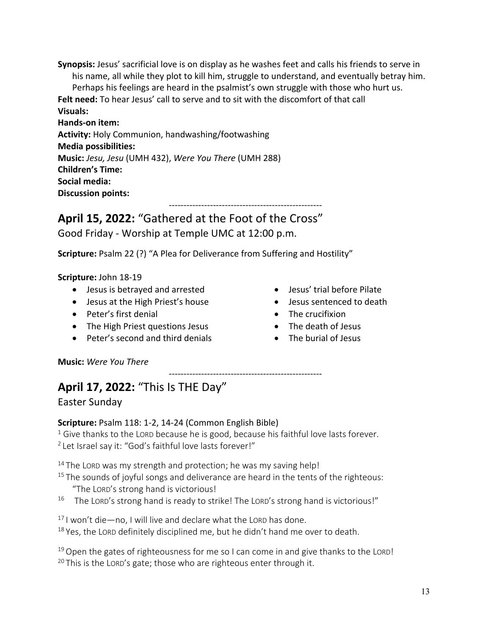**Synopsis:** Jesus' sacrificial love is on display as he washes feet and calls his friends to serve in his name, all while they plot to kill him, struggle to understand, and eventually betray him. Perhaps his feelings are heard in the psalmist's own struggle with those who hurt us. **Felt need:** To hear Jesus' call to serve and to sit with the discomfort of that call **Visuals: Hands-on item: Activity:** Holy Communion, handwashing/footwashing **Media possibilities: Music:** *Jesu, Jesu* (UMH 432), *Were You There* (UMH 288) **Children's Time: Social media: Discussion points:** ----------------------------------------------------

**April 15, 2022:** "Gathered at the Foot of the Cross" Good Friday - Worship at Temple UMC at 12:00 p.m.

**Scripture:** Psalm 22 (?) "A Plea for Deliverance from Suffering and Hostility"

## **Scripture:** John 18-19

- Jesus is betrayed and arrested
- Jesus at the High Priest's house
- Peter's first denial
- The High Priest questions Jesus
- Peter's second and third denials
- Jesus' trial before Pilate
- Jesus sentenced to death
- The crucifixion
- The death of Jesus
- The burial of Jesus

**Music:** *Were You There*

# **April 17, 2022:** "This Is THE Day"

Easter Sunday

# **Scripture:** Psalm 118: 1-2, 14-24 (Common English Bible)

 $1$  Give thanks to the LORD because he is good, because his faithful love lasts forever. <sup>2</sup> Let Israel say it: "God's faithful love lasts forever!"

----------------------------------------------------

 $14$  The LORD was my strength and protection; he was my saving help!

- $15$  The sounds of joyful songs and deliverance are heard in the tents of the righteous: "The LORD's strong hand is victorious!
- $16$  The LORD's strong hand is ready to strike! The LORD's strong hand is victorious!"

 $17$  I won't die—no, I will live and declare what the LORD has done.

 $18$  Yes, the LORD definitely disciplined me, but he didn't hand me over to death.

 $19$  Open the gates of righteousness for me so I can come in and give thanks to the LORD!  $20$  This is the LORD's gate; those who are righteous enter through it.